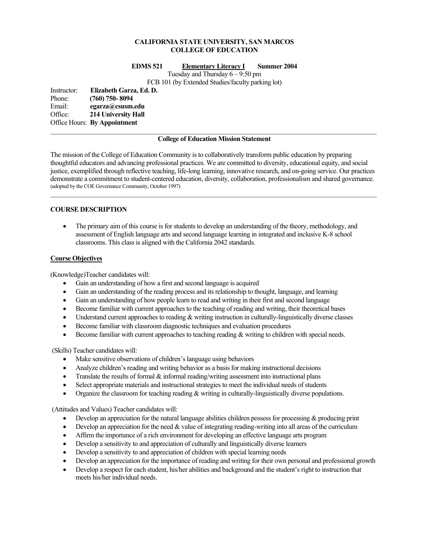# **CALIFORNIA STATE UNIVERSITY, SAN MARCOS COLLEGE OF EDUCATION**

#### **EDMS 521 Elementary Literacy I Summer 2004**

Tuesday and Thursday 6 – 9:50 pm

FCB 101 (by Extended Studies/faculty parking lot)

Instructor: **Elizabeth Garza, Ed. D.**  Phone: **(760) 750- 8094**  Email: **egarza@csusm.edu** Office: **214 University Hall**  Office Hours: **By Appointment**

#### **College of Education Mission Statement**

The mission of the College of Education Community is to collaboratively transform public education by preparing thoughtful educators and advancing professional practices. We are committed to diversity, educational equity, and social justice, exemplified through reflective teaching, life-long learning, innovative research, and on-going service. Our practices demonstrate a commitment to student-centered education, diversity, collaboration, professionalism and shared governance. (adopted by the COE Governance Community, October 1997)  $\mathcal{L}_\mathcal{L} = \{ \mathcal{L}_\mathcal{L} = \{ \mathcal{L}_\mathcal{L} = \{ \mathcal{L}_\mathcal{L} = \{ \mathcal{L}_\mathcal{L} = \{ \mathcal{L}_\mathcal{L} = \{ \mathcal{L}_\mathcal{L} = \{ \mathcal{L}_\mathcal{L} = \{ \mathcal{L}_\mathcal{L} = \{ \mathcal{L}_\mathcal{L} = \{ \mathcal{L}_\mathcal{L} = \{ \mathcal{L}_\mathcal{L} = \{ \mathcal{L}_\mathcal{L} = \{ \mathcal{L}_\mathcal{L} = \{ \mathcal{L}_\mathcal{$ 

### **COURSE DESCRIPTION**

• The primary aim of this course is for students to develop an understanding of the theory, methodology, and assessment of English language arts and second language learning in integrated and inclusive K-8 school classrooms. This class is aligned with the California 2042 standards.

### **Course Objectives**

(Knowledge)Teacher candidates will:

- Gain an understanding of how a first and second language is acquired
- Gain an understanding of the reading process and its relationship to thought, language, and learning
- Gain an understanding of how people learn to read and writing in their first and second language
- Become familiar with current approaches to the teaching of reading and writing, their theoretical bases
- Understand current approaches to reading & writing instruction in culturally-linguistically diverse classes
- Become familiar with classroom diagnostic techniques and evaluation procedures
- Become familiar with current approaches to teaching reading & writing to children with special needs.

(Skills) Teacher candidates will:

- Make sensitive observations of children's language using behaviors
- Analyze children's reading and writing behavior as a basis for making instructional decisions
- Translate the results of formal  $\&$  informal reading/writing assessment into instructional plans
- Select appropriate materials and instructional strategies to meet the individual needs of students
- Organize the classroom for teaching reading  $&$  writing in culturally-linguistically diverse populations.

(Attitudes and Values) Teacher candidates will:

- Develop an appreciation for the natural language abilities children possess for processing & producing print
- Develop an appreciation for the need  $&$  value of integrating reading-writing into all areas of the curriculum
- Affirm the importance of a rich environment for developing an effective language arts program
- Develop a sensitivity to and appreciation of culturally and linguistically diverse learners
- Develop a sensitivity to and appreciation of children with special learning needs
- Develop an appreciation for the importance of reading and writing for their own personal and professional growth
- Develop a respect for each student, his/her abilities and background and the student's right to instruction that meets his/her individual needs.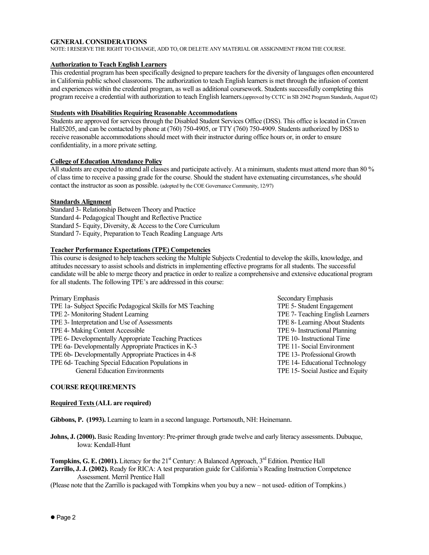#### **GENERAL CONSIDERATIONS**

NOTE: I RESERVE THE RIGHT TO CHANGE, ADD TO, OR DELETE ANY MATERIAL OR ASSIGNMENT FROM THE COURSE.

# **Authorization to Teach English Learners**

This credential program has been specifically designed to prepare teachers for the diversity of languages often encountered in California public school classrooms. The authorization to teach English learners is met through the infusion of content and experiences within the credential program, as well as additional coursework. Students successfully completing this program receive a credential with authorization to teach English learners.(approved by CCTC in SB 2042 Program Standards, August 02)

### **Students with Disabilities Requiring Reasonable Accommodations**

Students are approved for services through the Disabled Student Services Office (DSS). This office is located in Craven Hall5205, and can be contacted by phone at (760) 750-4905, or TTY (760) 750-4909. Students authorized by DSS to receive reasonable accommodations should meet with their instructor during office hours or, in order to ensure confidentiality, in a more private setting.

# **College of Education Attendance Policy**

All students are expected to attend all classes and participate actively. At a minimum, students must attend more than 80 % of class time to receive a passing grade for the course. Should the student have extenuating circumstances, s/he should contact the instructor as soon as possible. (adopted by the COE Governance Community, 12/97)

#### **Standards Alignment**

Standard 3- Relationship Between Theory and Practice Standard 4- Pedagogical Thought and Reflective Practice Standard 5- Equity, Diversity, & Access to the Core Curriculum Standard 7- Equity, Preparation to Teach Reading Language Arts

### **Teacher Performance Expectations (TPE) Competencies**

This course is designed to help teachers seeking the Multiple Subjects Credential to develop the skills, knowledge, and attitudes necessary to assist schools and districts in implementing effective programs for all students. The successful candidate will be able to merge theory and practice in order to realize a comprehensive and extensive educational program for all students. The following TPE's are addressed in this course:

| Secondary Emphasis                |
|-----------------------------------|
| TPE 5- Student Engagement         |
| TPE 7- Teaching English Learners  |
| TPE 8- Learning About Students    |
| TPE 9- Instructional Planning     |
| TPE 10- Instructional Time        |
| TPE 11- Social Environment        |
| TPE 13- Professional Growth       |
| TPE 14- Educational Technology    |
| TPE 15- Social Justice and Equity |
|                                   |

# **COURSE REQUIREMENTS**

#### **Required Texts (ALL are required)**

**Gibbons, P. (1993).** Learning to learn in a second language. Portsmouth, NH: Heinemann.

**Johns, J. (2000).** Basic Reading Inventory: Pre-primer through grade twelve and early literacy assessments. Dubuque, Iowa: Kendall-Hunt

**Tompkins, G. E. (2001).** Literacy for the 21<sup>st</sup> Century: A Balanced Approach, 3<sup>rd</sup> Edition. Prentice Hall **Zarrillo, J. J. (2002).** Ready for RICA: A test preparation guide for California's Reading Instruction Competence Assessment. Merril Prentice Hall

(Please note that the Zarrillo is packaged with Tompkins when you buy a new – not used- edition of Tompkins.)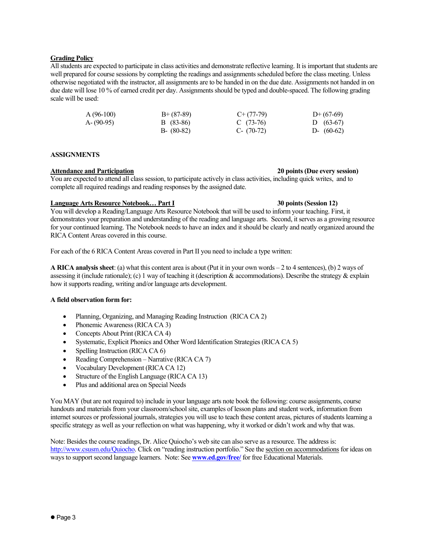# **Grading Policy**

All students are expected to participate in class activities and demonstrate reflective learning. It is important that students are well prepared for course sessions by completing the readings and assignments scheduled before the class meeting. Unless otherwise negotiated with the instructor, all assignments are to be handed in on the due date. Assignments not handed in on due date will lose 10 % of earned credit per day. Assignments should be typed and double-spaced. The following grading scale will be used:

| $A(96-100)$ | $B+ (87-89)$  | $C+(77-79)$  | $D+(67-69)$  |
|-------------|---------------|--------------|--------------|
| A-(90-95)   | B (83-86)     | C $(73-76)$  | D $(63-67)$  |
|             | $B - (80-82)$ | C- $(70-72)$ | D- $(60-62)$ |

#### **ASSIGNMENTS**

#### **Attendance and Participation 20 points (Due every session)**

You are expected to attend all class session, to participate actively in class activities, including quick writes, and to complete all required readings and reading responses by the assigned date.

# **Language Arts Resource Notebook… Part I 30 points (Session 12)**

You will develop a Reading/Language Arts Resource Notebook that will be used to inform your teaching. First, it demonstrates your preparation and understanding of the reading and language arts. Second, it serves as a growing resource for your continued learning. The Notebook needs to have an index and it should be clearly and neatly organized around the RICA Content Areas covered in this course.

For each of the 6 RICA Content Areas covered in Part II you need to include a type written:

**A RICA analysis sheet**: (a) what this content area is about (Put it in your own words – 2 to 4 sentences), (b) 2 ways of assessing it (include rationale); (c) 1 way of teaching it (description  $\&$  accommodations). Describe the strategy  $\&$  explain how it supports reading, writing and/or language arts development.

## **A field observation form for:**

- Planning, Organizing, and Managing Reading Instruction (RICA CA 2)
- Phonemic Awareness (RICA CA 3)
- Concepts About Print (RICA CA 4)
- Systematic, Explicit Phonics and Other Word Identification Strategies (RICA CA 5)
- Spelling Instruction (RICA CA 6)
- Reading Comprehension Narrative (RICA CA 7)
- Vocabulary Development (RICA CA 12)
- Structure of the English Language (RICA CA 13)
- Plus and additional area on Special Needs

You MAY (but are not required to) include in your language arts note book the following: course assignments, course handouts and materials from your classroom/school site, examples of lesson plans and student work, information from internet sources or professional journals, strategies you will use to teach these content areas, pictures of students learning a specific strategy as well as your reflection on what was happening, why it worked or didn't work and why that was.

Note: Besides the course readings, Dr. Alice Quiocho's web site can also serve as a resource. The address is: http://www.csusm.edu/Quiocho. Click on "reading instruction portfolio." See the section on accommodations for ideas on ways to support second language learners. Note: See **www.ed.gov/free/** for free Educational Materials.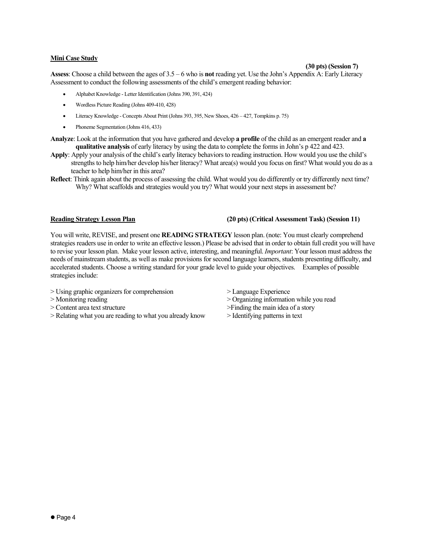# **Mini Case Study**

# **(30 pts) (Session 7)**

**Assess**: Choose a child between the ages of 3.5 – 6 who is **not** reading yet. Use the John's Appendix A: Early Literacy Assessment to conduct the following assessments of the child's emergent reading behavior:

- Alphabet Knowledge Letter Identification (Johns 390, 391, 424)
- Wordless Picture Reading (Johns 409-410, 428)
- Literacy Knowledge Concepts About Print (Johns 393, 395, New Shoes, 426 427, Tompkins p. 75)
- Phoneme Segmentation (Johns 416, 433)
- **Analyze**: Look at the information that you have gathered and develop **a profile** of the child as an emergent reader and **a qualitative analysis** of early literacy by using the data to complete the forms in John's p 422 and 423.
- **Apply**: Apply your analysis of the child's early literacy behaviors to reading instruction. How would you use the child's strengths to help him/her develop his/her literacy? What area(s) would you focus on first? What would you do as a teacher to help him/her in this area?
- **Reflect**: Think again about the process of assessing the child. What would you do differently or try differently next time? Why? What scaffolds and strategies would you try? What would your next steps in assessment be?

## **Reading Strategy Lesson Plan (20 pts) (Critical Assessment Task) (Session 11)**

You will write, REVISE, and present one **READING STRATEGY** lesson plan. (note: You must clearly comprehend strategies readers use in order to write an effective lesson.) Please be advised that in order to obtain full credit you will have to revise your lesson plan. Make your lesson active, interesting, and meaningful. *Important*: Your lesson must address the needs of mainstream students, as well as make provisions for second language learners, students presenting difficulty, and accelerated students. Choose a writing standard for your grade level to guide your objectives. Examples of possible strategies include:

- > Using graphic organizers for comprehension > Language Experience
- 
- > Content area text structure >Finding the main idea of a story
- > Relating what you are reading to what you already know > Identifying patterns in text
- 
- > Monitoring reading > Organizing information while you read
	-
	-